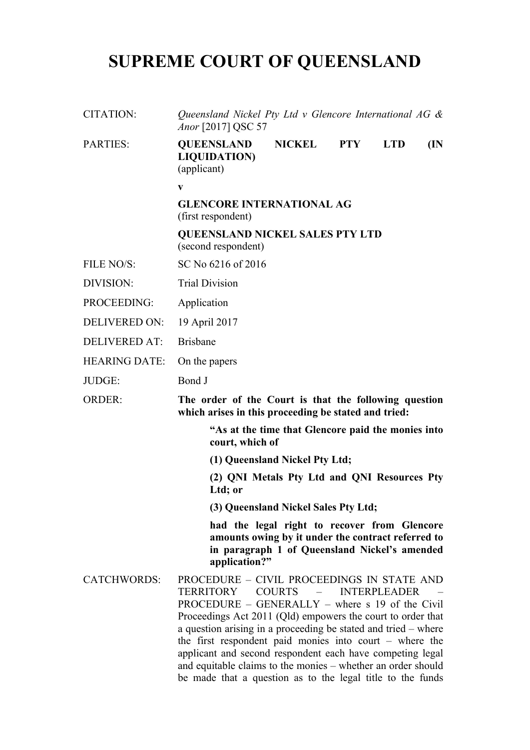## **SUPREME COURT OF QUEENSLAND**

| CITATION:            | Queensland Nickel Pty Ltd v Glencore International AG $\&$<br>Anor [2017] QSC 57                                                                                                                                                                                                                                                                                                                                                                                                                             |                                                                                                                                                     |            |                     |     |  |
|----------------------|--------------------------------------------------------------------------------------------------------------------------------------------------------------------------------------------------------------------------------------------------------------------------------------------------------------------------------------------------------------------------------------------------------------------------------------------------------------------------------------------------------------|-----------------------------------------------------------------------------------------------------------------------------------------------------|------------|---------------------|-----|--|
| <b>PARTIES:</b>      | <b>QUEENSLAND</b><br><b>LIQUIDATION</b> )<br>(applicant)                                                                                                                                                                                                                                                                                                                                                                                                                                                     | <b>NICKEL</b>                                                                                                                                       | <b>PTY</b> | <b>LTD</b>          | (IN |  |
|                      | $\mathbf{v}$                                                                                                                                                                                                                                                                                                                                                                                                                                                                                                 |                                                                                                                                                     |            |                     |     |  |
|                      | <b>GLENCORE INTERNATIONAL AG</b><br>(first respondent)                                                                                                                                                                                                                                                                                                                                                                                                                                                       |                                                                                                                                                     |            |                     |     |  |
|                      | <b>QUEENSLAND NICKEL SALES PTY LTD</b><br>(second respondent)                                                                                                                                                                                                                                                                                                                                                                                                                                                |                                                                                                                                                     |            |                     |     |  |
| FILE NO/S:           | SC No 6216 of 2016                                                                                                                                                                                                                                                                                                                                                                                                                                                                                           |                                                                                                                                                     |            |                     |     |  |
| DIVISION:            | <b>Trial Division</b>                                                                                                                                                                                                                                                                                                                                                                                                                                                                                        |                                                                                                                                                     |            |                     |     |  |
| PROCEEDING:          | Application                                                                                                                                                                                                                                                                                                                                                                                                                                                                                                  |                                                                                                                                                     |            |                     |     |  |
| <b>DELIVERED ON:</b> | 19 April 2017                                                                                                                                                                                                                                                                                                                                                                                                                                                                                                |                                                                                                                                                     |            |                     |     |  |
| <b>DELIVERED AT:</b> | <b>Brisbane</b>                                                                                                                                                                                                                                                                                                                                                                                                                                                                                              |                                                                                                                                                     |            |                     |     |  |
| <b>HEARING DATE:</b> | On the papers                                                                                                                                                                                                                                                                                                                                                                                                                                                                                                |                                                                                                                                                     |            |                     |     |  |
| JUDGE:               | Bond J                                                                                                                                                                                                                                                                                                                                                                                                                                                                                                       |                                                                                                                                                     |            |                     |     |  |
| <b>ORDER:</b>        | The order of the Court is that the following question<br>which arises in this proceeding be stated and tried:                                                                                                                                                                                                                                                                                                                                                                                                |                                                                                                                                                     |            |                     |     |  |
|                      | "As at the time that Glencore paid the monies into<br>court, which of                                                                                                                                                                                                                                                                                                                                                                                                                                        |                                                                                                                                                     |            |                     |     |  |
|                      | (1) Queensland Nickel Pty Ltd;                                                                                                                                                                                                                                                                                                                                                                                                                                                                               |                                                                                                                                                     |            |                     |     |  |
|                      | Ltd; or                                                                                                                                                                                                                                                                                                                                                                                                                                                                                                      | (2) QNI Metals Pty Ltd and QNI Resources Pty                                                                                                        |            |                     |     |  |
|                      |                                                                                                                                                                                                                                                                                                                                                                                                                                                                                                              | (3) Queensland Nickel Sales Pty Ltd;                                                                                                                |            |                     |     |  |
|                      | application?"                                                                                                                                                                                                                                                                                                                                                                                                                                                                                                | had the legal right to recover from Glencore<br>amounts owing by it under the contract referred to<br>in paragraph 1 of Queensland Nickel's amended |            |                     |     |  |
| <b>CATCHWORDS:</b>   | PROCEDURE – CIVIL PROCEEDINGS IN STATE AND<br><b>TERRITORY</b><br>PROCEDURE – GENERALLY – where $s$ 19 of the Civil<br>Proceedings Act 2011 (Qld) empowers the court to order that<br>a question arising in a proceeding be stated and tried – where<br>the first respondent paid monies into court $-$ where the<br>applicant and second respondent each have competing legal<br>and equitable claims to the monies - whether an order should<br>be made that a question as to the legal title to the funds | <b>COURTS</b>                                                                                                                                       |            | <b>INTERPLEADER</b> |     |  |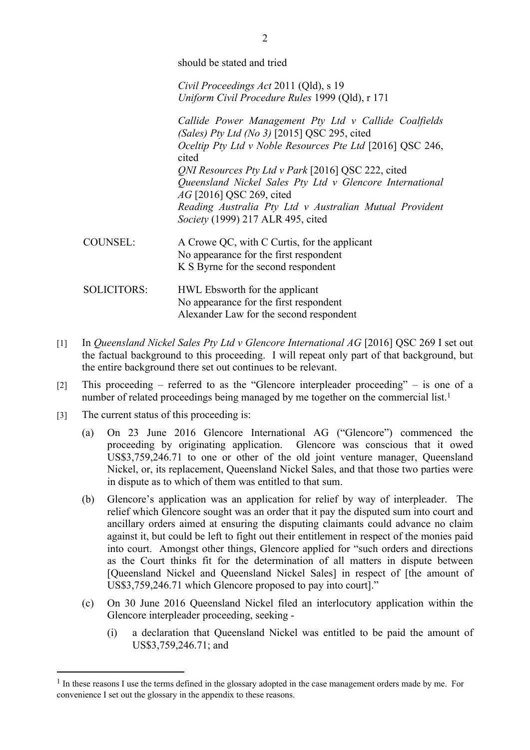should be stated and tried

*Civil Proceedings Act* 2011 (Qld), s 19 *Uniform Civil Procedure Rules* 1999 (Qld), r 171

*Callide Power Management Pty Ltd v Callide Coalfields (Sales) Pty Ltd (No 3)* [2015] QSC 295, cited *Oceltip Pty Ltd v Noble Resources Pte Ltd* [2016] QSC 246, cited *QNI Resources Pty Ltd v Park* [2016] QSC 222, cited *Queensland Nickel Sales Pty Ltd v Glencore International AG* [2016] QSC 269, cited *Reading Australia Pty Ltd v Australian Mutual Provident Society* (1999) 217 ALR 495, cited

- COUNSEL: A Crowe QC, with C Curtis, for the applicant No appearance for the first respondent K S Byrne for the second respondent
- SOLICITORS: HWL Ebsworth for the applicant No appearance for the first respondent Alexander Law for the second respondent
- [1] In *Queensland Nickel Sales Pty Ltd v Glencore International AG* [2016] QSC 269 I set out the factual background to this proceeding. I will repeat only part of that background, but the entire background there set out continues to be relevant.
- [2] This proceeding referred to as the "Glencore interpleader proceeding" is one of a number of related proceedings being managed by me together on the commercial list.<sup>1</sup>
- [3] The current status of this proceeding is:
	- (a) On 23 June 2016 Glencore International AG ("Glencore") commenced the proceeding by originating application. Glencore was conscious that it owed US\$3,759,246.71 to one or other of the old joint venture manager, Queensland Nickel, or, its replacement, Queensland Nickel Sales, and that those two parties were in dispute as to which of them was entitled to that sum.
	- (b) Glencore's application was an application for relief by way of interpleader. The relief which Glencore sought was an order that it pay the disputed sum into court and ancillary orders aimed at ensuring the disputing claimants could advance no claim against it, but could be left to fight out their entitlement in respect of the monies paid into court. Amongst other things, Glencore applied for "such orders and directions as the Court thinks fit for the determination of all matters in dispute between [Queensland Nickel and Queensland Nickel Sales] in respect of [the amount of US\$3,759,246.71 which Glencore proposed to pay into court]."
	- (c) On 30 June 2016 Queensland Nickel filed an interlocutory application within the Glencore interpleader proceeding, seeking -
		- (i) a declaration that Queensland Nickel was entitled to be paid the amount of US\$3,759,246.71; and

<sup>&</sup>lt;sup>1</sup> In these reasons I use the terms defined in the glossary adopted in the case management orders made by me. For convenience I set out the glossary in the appendix to these reasons.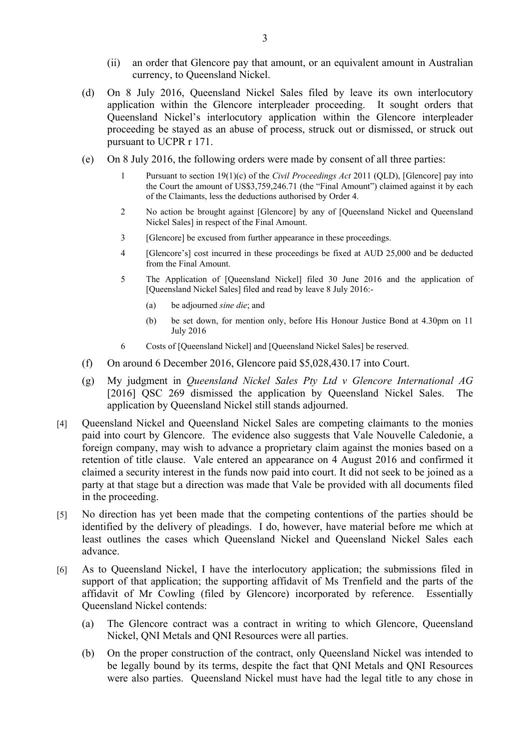- (ii) an order that Glencore pay that amount, or an equivalent amount in Australian currency, to Queensland Nickel.
- (d) On 8 July 2016, Queensland Nickel Sales filed by leave its own interlocutory application within the Glencore interpleader proceeding. It sought orders that Queensland Nickel's interlocutory application within the Glencore interpleader proceeding be stayed as an abuse of process, struck out or dismissed, or struck out pursuant to UCPR r 171.
- (e) On 8 July 2016, the following orders were made by consent of all three parties:
	- 1 Pursuant to section 19(1)(c) of the *Civil Proceedings Act* 2011 (QLD), [Glencore] pay into the Court the amount of US\$3,759,246.71 (the "Final Amount") claimed against it by each of the Claimants, less the deductions authorised by Order 4.
	- 2 No action be brought against [Glencore] by any of [Queensland Nickel and Queensland Nickel Sales] in respect of the Final Amount.
	- 3 [Glencore] be excused from further appearance in these proceedings.
	- 4 [Glencore's] cost incurred in these proceedings be fixed at AUD 25,000 and be deducted from the Final Amount.
	- 5 The Application of [Queensland Nickel] filed 30 June 2016 and the application of [Queensland Nickel Sales] filed and read by leave 8 July 2016:-
		- (a) be adjourned *sine die*; and
		- (b) be set down, for mention only, before His Honour Justice Bond at 4.30pm on 11 July 2016
	- 6 Costs of [Queensland Nickel] and [Queensland Nickel Sales] be reserved.
- (f) On around 6 December 2016, Glencore paid \$5,028,430.17 into Court.
- (g) My judgment in *Queensland Nickel Sales Pty Ltd v Glencore International AG* [2016] QSC 269 dismissed the application by Queensland Nickel Sales. The application by Queensland Nickel still stands adjourned.
- [4] Queensland Nickel and Queensland Nickel Sales are competing claimants to the monies paid into court by Glencore. The evidence also suggests that Vale Nouvelle Caledonie, a foreign company, may wish to advance a proprietary claim against the monies based on a retention of title clause. Vale entered an appearance on 4 August 2016 and confirmed it claimed a security interest in the funds now paid into court. It did not seek to be joined as a party at that stage but a direction was made that Vale be provided with all documents filed in the proceeding.
- [5] No direction has yet been made that the competing contentions of the parties should be identified by the delivery of pleadings. I do, however, have material before me which at least outlines the cases which Queensland Nickel and Queensland Nickel Sales each advance.
- [6] As to Queensland Nickel, I have the interlocutory application; the submissions filed in support of that application; the supporting affidavit of Ms Trenfield and the parts of the affidavit of Mr Cowling (filed by Glencore) incorporated by reference. Essentially Queensland Nickel contends:
	- (a) The Glencore contract was a contract in writing to which Glencore, Queensland Nickel, QNI Metals and QNI Resources were all parties.
	- (b) On the proper construction of the contract, only Queensland Nickel was intended to be legally bound by its terms, despite the fact that QNI Metals and QNI Resources were also parties. Queensland Nickel must have had the legal title to any chose in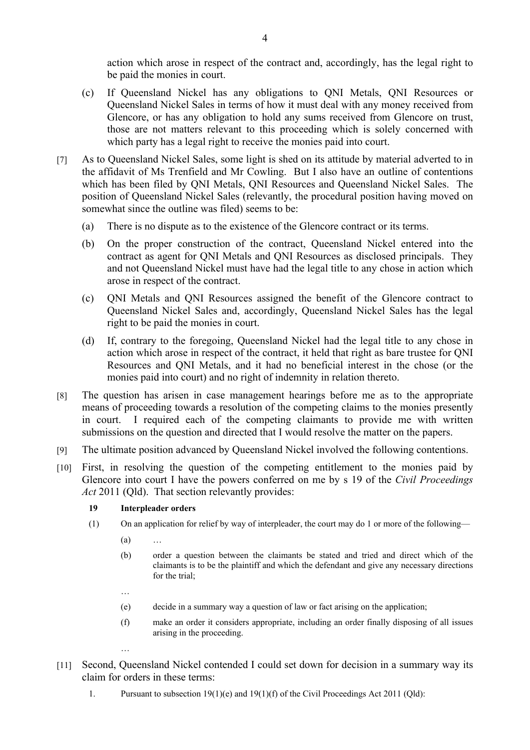action which arose in respect of the contract and, accordingly, has the legal right to be paid the monies in court.

- (c) If Queensland Nickel has any obligations to QNI Metals, QNI Resources or Queensland Nickel Sales in terms of how it must deal with any money received from Glencore, or has any obligation to hold any sums received from Glencore on trust, those are not matters relevant to this proceeding which is solely concerned with which party has a legal right to receive the monies paid into court.
- [7] As to Queensland Nickel Sales, some light is shed on its attitude by material adverted to in the affidavit of Ms Trenfield and Mr Cowling. But I also have an outline of contentions which has been filed by QNI Metals, QNI Resources and Queensland Nickel Sales. The position of Queensland Nickel Sales (relevantly, the procedural position having moved on somewhat since the outline was filed) seems to be:
	- (a) There is no dispute as to the existence of the Glencore contract or its terms.
	- (b) On the proper construction of the contract, Queensland Nickel entered into the contract as agent for QNI Metals and QNI Resources as disclosed principals. They and not Queensland Nickel must have had the legal title to any chose in action which arose in respect of the contract.
	- (c) QNI Metals and QNI Resources assigned the benefit of the Glencore contract to Queensland Nickel Sales and, accordingly, Queensland Nickel Sales has the legal right to be paid the monies in court.
	- (d) If, contrary to the foregoing, Queensland Nickel had the legal title to any chose in action which arose in respect of the contract, it held that right as bare trustee for QNI Resources and QNI Metals, and it had no beneficial interest in the chose (or the monies paid into court) and no right of indemnity in relation thereto.
- [8] The question has arisen in case management hearings before me as to the appropriate means of proceeding towards a resolution of the competing claims to the monies presently in court. I required each of the competing claimants to provide me with written submissions on the question and directed that I would resolve the matter on the papers.
- [9] The ultimate position advanced by Queensland Nickel involved the following contentions.
- [10] First, in resolving the question of the competing entitlement to the monies paid by Glencore into court I have the powers conferred on me by s 19 of the *Civil Proceedings Act* 2011 (Qld). That section relevantly provides:

## **19 Interpleader orders**

- (1) On an application for relief by way of interpleader, the court may do 1 or more of the following—
	- (a) …

…

…

- (b) order a question between the claimants be stated and tried and direct which of the claimants is to be the plaintiff and which the defendant and give any necessary directions for the trial:
- (e) decide in a summary way a question of law or fact arising on the application;
- (f) make an order it considers appropriate, including an order finally disposing of all issues arising in the proceeding.
- [11] Second, Queensland Nickel contended I could set down for decision in a summary way its claim for orders in these terms:
	- 1. Pursuant to subsection 19(1)(e) and 19(1)(f) of the Civil Proceedings Act 2011 (Qld):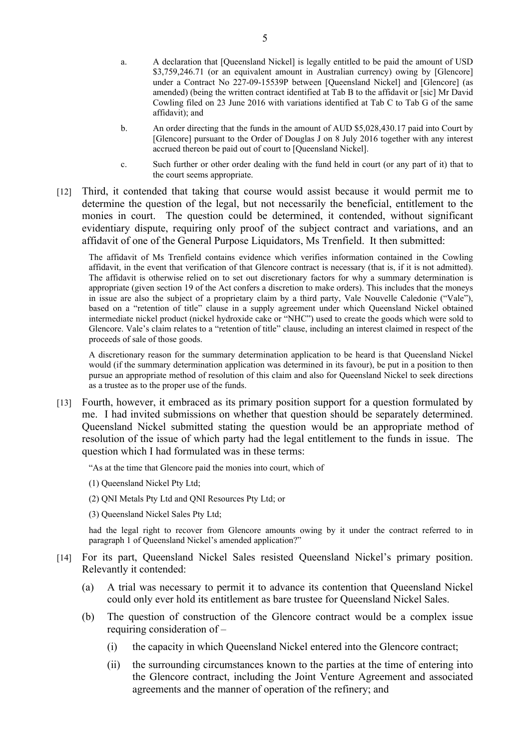- a. A declaration that [Queensland Nickel] is legally entitled to be paid the amount of USD \$3,759,246.71 (or an equivalent amount in Australian currency) owing by [Glencore] under a Contract No 227-09-15539P between [Queensland Nickel] and [Glencore] (as amended) (being the written contract identified at Tab B to the affidavit or [sic] Mr David Cowling filed on 23 June 2016 with variations identified at Tab C to Tab G of the same affidavit); and
- b. An order directing that the funds in the amount of AUD \$5,028,430.17 paid into Court by [Glencore] pursuant to the Order of Douglas J on 8 July 2016 together with any interest accrued thereon be paid out of court to [Queensland Nickel].
- c. Such further or other order dealing with the fund held in court (or any part of it) that to the court seems appropriate.
- [12] Third, it contended that taking that course would assist because it would permit me to determine the question of the legal, but not necessarily the beneficial, entitlement to the monies in court. The question could be determined, it contended, without significant evidentiary dispute, requiring only proof of the subject contract and variations, and an affidavit of one of the General Purpose Liquidators, Ms Trenfield. It then submitted:

The affidavit of Ms Trenfield contains evidence which verifies information contained in the Cowling affidavit, in the event that verification of that Glencore contract is necessary (that is, if it is not admitted). The affidavit is otherwise relied on to set out discretionary factors for why a summary determination is appropriate (given section 19 of the Act confers a discretion to make orders). This includes that the moneys in issue are also the subject of a proprietary claim by a third party, Vale Nouvelle Caledonie ("Vale"), based on a "retention of title" clause in a supply agreement under which Queensland Nickel obtained intermediate nickel product (nickel hydroxide cake or "NHC") used to create the goods which were sold to Glencore. Vale's claim relates to a "retention of title" clause, including an interest claimed in respect of the proceeds of sale of those goods.

A discretionary reason for the summary determination application to be heard is that Queensland Nickel would (if the summary determination application was determined in its favour), be put in a position to then pursue an appropriate method of resolution of this claim and also for Queensland Nickel to seek directions as a trustee as to the proper use of the funds.

[13] Fourth, however, it embraced as its primary position support for a question formulated by me. I had invited submissions on whether that question should be separately determined. Queensland Nickel submitted stating the question would be an appropriate method of resolution of the issue of which party had the legal entitlement to the funds in issue. The question which I had formulated was in these terms:

"As at the time that Glencore paid the monies into court, which of

(1) Queensland Nickel Pty Ltd;

(2) QNI Metals Pty Ltd and QNI Resources Pty Ltd; or

(3) Queensland Nickel Sales Pty Ltd;

had the legal right to recover from Glencore amounts owing by it under the contract referred to in paragraph 1 of Queensland Nickel's amended application?"

- [14] For its part, Queensland Nickel Sales resisted Queensland Nickel's primary position. Relevantly it contended:
	- (a) A trial was necessary to permit it to advance its contention that Queensland Nickel could only ever hold its entitlement as bare trustee for Queensland Nickel Sales.
	- (b) The question of construction of the Glencore contract would be a complex issue requiring consideration of –
		- (i) the capacity in which Queensland Nickel entered into the Glencore contract;
		- (ii) the surrounding circumstances known to the parties at the time of entering into the Glencore contract, including the Joint Venture Agreement and associated agreements and the manner of operation of the refinery; and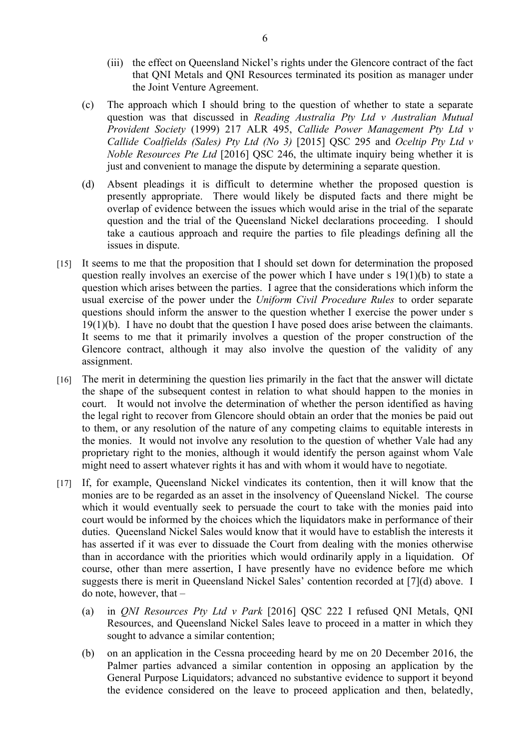- (iii) the effect on Queensland Nickel's rights under the Glencore contract of the fact that QNI Metals and QNI Resources terminated its position as manager under the Joint Venture Agreement.
- (c) The approach which I should bring to the question of whether to state a separate question was that discussed in *Reading Australia Pty Ltd v Australian Mutual Provident Society* (1999) 217 ALR 495, *Callide Power Management Pty Ltd v Callide Coalfields (Sales) Pty Ltd (No 3)* [2015] QSC 295 and *Oceltip Pty Ltd v Noble Resources Pte Ltd* [2016] QSC 246, the ultimate inquiry being whether it is just and convenient to manage the dispute by determining a separate question.
- (d) Absent pleadings it is difficult to determine whether the proposed question is presently appropriate. There would likely be disputed facts and there might be overlap of evidence between the issues which would arise in the trial of the separate question and the trial of the Queensland Nickel declarations proceeding. I should take a cautious approach and require the parties to file pleadings defining all the issues in dispute.
- [15] It seems to me that the proposition that I should set down for determination the proposed question really involves an exercise of the power which I have under s 19(1)(b) to state a question which arises between the parties. I agree that the considerations which inform the usual exercise of the power under the *Uniform Civil Procedure Rules* to order separate questions should inform the answer to the question whether I exercise the power under s 19(1)(b). I have no doubt that the question I have posed does arise between the claimants. It seems to me that it primarily involves a question of the proper construction of the Glencore contract, although it may also involve the question of the validity of any assignment.
- [16] The merit in determining the question lies primarily in the fact that the answer will dictate the shape of the subsequent contest in relation to what should happen to the monies in court. It would not involve the determination of whether the person identified as having the legal right to recover from Glencore should obtain an order that the monies be paid out to them, or any resolution of the nature of any competing claims to equitable interests in the monies. It would not involve any resolution to the question of whether Vale had any proprietary right to the monies, although it would identify the person against whom Vale might need to assert whatever rights it has and with whom it would have to negotiate.
- [17] If, for example, Queensland Nickel vindicates its contention, then it will know that the monies are to be regarded as an asset in the insolvency of Queensland Nickel. The course which it would eventually seek to persuade the court to take with the monies paid into court would be informed by the choices which the liquidators make in performance of their duties. Queensland Nickel Sales would know that it would have to establish the interests it has asserted if it was ever to dissuade the Court from dealing with the monies otherwise than in accordance with the priorities which would ordinarily apply in a liquidation. Of course, other than mere assertion, I have presently have no evidence before me which suggests there is merit in Queensland Nickel Sales' contention recorded at [7](d) above. I do note, however, that –
	- (a) in *QNI Resources Pty Ltd v Park* [2016] QSC 222 I refused QNI Metals, QNI Resources, and Queensland Nickel Sales leave to proceed in a matter in which they sought to advance a similar contention;
	- (b) on an application in the Cessna proceeding heard by me on 20 December 2016, the Palmer parties advanced a similar contention in opposing an application by the General Purpose Liquidators; advanced no substantive evidence to support it beyond the evidence considered on the leave to proceed application and then, belatedly,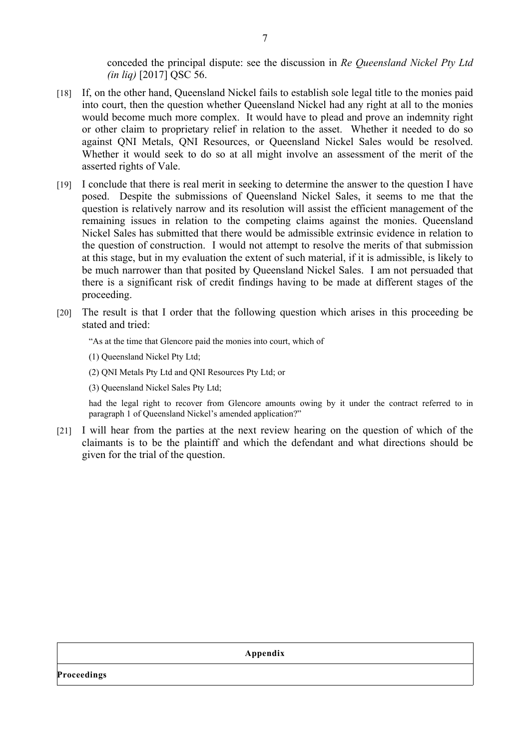conceded the principal dispute: see the discussion in *Re Queensland Nickel Pty Ltd (in liq)* [2017] QSC 56.

- [18] If, on the other hand, Queensland Nickel fails to establish sole legal title to the monies paid into court, then the question whether Queensland Nickel had any right at all to the monies would become much more complex. It would have to plead and prove an indemnity right or other claim to proprietary relief in relation to the asset. Whether it needed to do so against QNI Metals, QNI Resources, or Queensland Nickel Sales would be resolved. Whether it would seek to do so at all might involve an assessment of the merit of the asserted rights of Vale.
- [19] I conclude that there is real merit in seeking to determine the answer to the question I have posed. Despite the submissions of Queensland Nickel Sales, it seems to me that the question is relatively narrow and its resolution will assist the efficient management of the remaining issues in relation to the competing claims against the monies. Queensland Nickel Sales has submitted that there would be admissible extrinsic evidence in relation to the question of construction. I would not attempt to resolve the merits of that submission at this stage, but in my evaluation the extent of such material, if it is admissible, is likely to be much narrower than that posited by Queensland Nickel Sales. I am not persuaded that there is a significant risk of credit findings having to be made at different stages of the proceeding.
- [20] The result is that I order that the following question which arises in this proceeding be stated and tried:

"As at the time that Glencore paid the monies into court, which of

- (1) Queensland Nickel Pty Ltd;
- (2) QNI Metals Pty Ltd and QNI Resources Pty Ltd; or
- (3) Queensland Nickel Sales Pty Ltd;

had the legal right to recover from Glencore amounts owing by it under the contract referred to in paragraph 1 of Queensland Nickel's amended application?"

[21] I will hear from the parties at the next review hearing on the question of which of the claimants is to be the plaintiff and which the defendant and what directions should be given for the trial of the question.

**Appendix**

**Proceedings**